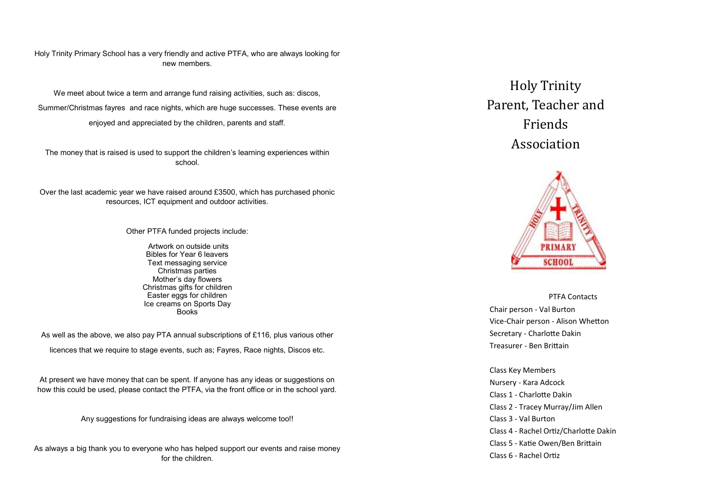#### Holy Trinity Primary School has a very friendly and active PTFA, who are always looking for new members.

We meet about twice a term and arrange fund raising activities, such as: discos, Summer/Christmas fayres and race nights, which are huge successes. These events are enjoyed and appreciated by the children, parents and staff.

The money that is raised is used to support the children's learning experiences within school.

Over the last academic year we have raised around £3500, which has purchased phonic resources, ICT equipment and outdoor activities.

Other PTFA funded projects include:

Artwork on outside units Bibles for Year 6 leavers Text messaging service Christmas parties Mother's day flowers Christmas gifts for children Easter eggs for children Ice creams on Sports Day Books

As well as the above, we also pay PTA annual subscriptions of £116, plus various other

licences that we require to stage events, such as; Fayres, Race nights, Discos etc.

At present we have money that can be spent. If anyone has any ideas or suggestions on how this could be used, please contact the PTFA, via the front office or in the school yard.

Any suggestions for fundraising ideas are always welcome too!!

As always a big thank you to everyone who has helped support our events and raise money for the children.

Holy Trinity Parent, Teacher and Friends Association



PTFA Contacts Chair person - Val Burton Vice-Chair person - Alison Whetton Secretary - Charlotte Dakin Treasurer - Ben Brittain

Class Key Members Nursery - Kara Adcock Class 1 - Charlotte Dakin Class 2 - Tracey Murray/Jim Allen Class 3 - Val Burton Class 4 - Rachel Ortiz/Charlotte Dakin Class 5 - Katie Owen/Ben Brittain Class 6 - Rachel Ortiz